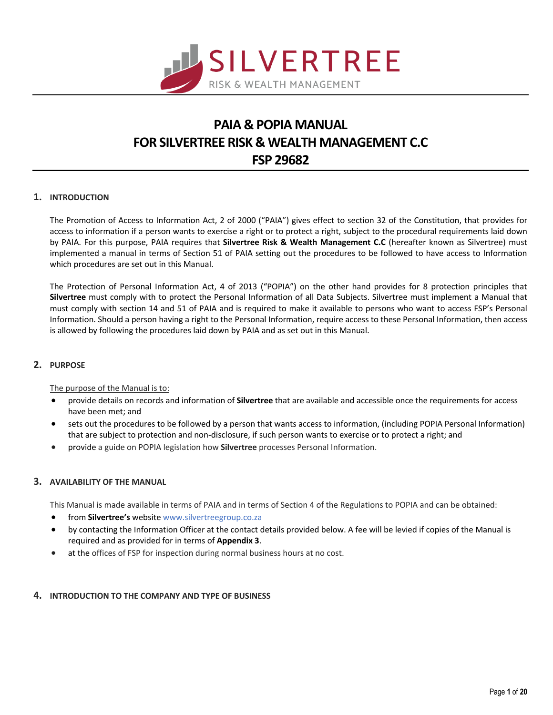

# **PAIA & POPIA MANUAL FOR SILVERTREE RISK & WEALTH MANAGEMENT C.C FSP 29682**

# **1. INTRODUCTION**

The Promotion of Access to Information Act, 2 of 2000 ("PAIA") gives effect to section 32 of the Constitution, that provides for access to information if a person wants to exercise a right or to protect a right, subject to the procedural requirements laid down by PAIA. For this purpose, PAIA requires that **Silvertree Risk & Wealth Management C.C** (hereafter known as Silvertree) must implemented a manual in terms of Section 51 of PAIA setting out the procedures to be followed to have access to Information which procedures are set out in this Manual.

The Protection of Personal Information Act, 4 of 2013 ("POPIA") on the other hand provides for 8 protection principles that **Silvertree** must comply with to protect the Personal Information of all Data Subjects. Silvertree must implement a Manual that must comply with section 14 and 51 of PAIA and is required to make it available to persons who want to access FSP's Personal Information. Should a person having a right to the Personal Information, require access to these Personal Information, then access is allowed by following the procedures laid down by PAIA and as set out in this Manual.

# **2. PURPOSE**

The purpose of the Manual is to:

- provide details on records and information of **Silvertree** that are available and accessible once the requirements for access have been met; and
- sets out the procedures to be followed by a person that wants access to information, (including POPIA Personal Information) that are subject to protection and non-disclosure, if such person wants to exercise or to protect a right; and
- provide a guide on POPIA legislation how **Silvertree** processes Personal Information.

# **3. AVAILABILITY OF THE MANUAL**

This Manual is made available in terms of PAIA and in terms of Section 4 of the Regulations to POPIA and can be obtained:

- from **Silvertree's** website www.silvertreegroup.co.za
- by contacting the Information Officer at the contact details provided below. A fee will be levied if copies of the Manual is required and as provided for in terms of **Appendix 3**.
- at the offices of FSP for inspection during normal business hours at no cost.

# **4. INTRODUCTION TO THE COMPANY AND TYPE OF BUSINESS**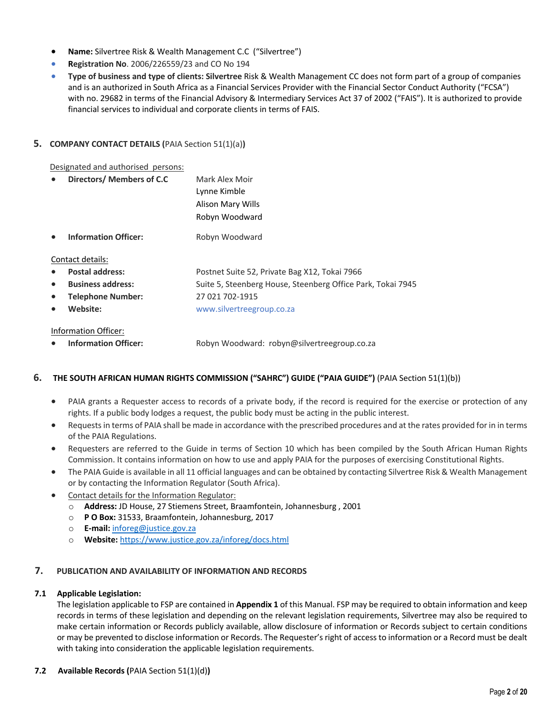- **Name:** Silvertree Risk & Wealth Management C.C ("Silvertree")
- **Registration No**. 2006/226559/23 and CO No 194
- **Type of business and type of clients: Silvertree** Risk & Wealth Management CC does not form part of a group of companies and is an authorized in South Africa as a Financial Services Provider with the Financial Sector Conduct Authority ("FCSA") with no. 29682 in terms of the Financial Advisory & Intermediary Services Act 37 of 2002 ("FAIS"). It is authorized to provide financial services to individual and corporate clients in terms of FAIS.

# **5. COMPANY CONTACT DETAILS (**PAIA Section 51(1)(a)**)**

Designated and authorised persons:

| Directors/ Members of C.C   | Mark Alex Moir                                              |
|-----------------------------|-------------------------------------------------------------|
|                             | Lynne Kimble                                                |
|                             | Alison Mary Wills                                           |
|                             | Robyn Woodward                                              |
| <b>Information Officer:</b> | Robyn Woodward                                              |
| Contact details:            |                                                             |
| <b>Postal address:</b>      | Postnet Suite 52, Private Bag X12, Tokai 7966               |
| <b>Business address:</b>    | Suite 5, Steenberg House, Steenberg Office Park, Tokai 7945 |
| Telephone Number:           | 27 021 702-1915                                             |
| Website:                    | www.silvertreegroup.co.za                                   |
|                             |                                                             |

#### Information Officer:

• **Information Officer:** Robyn Woodward: robyn@silvertreegroup.co.za

# **6. THE SOUTH AFRICAN HUMAN RIGHTS COMMISSION ("SAHRC") GUIDE ("PAIA GUIDE")** (PAIA Section 51(1)(b))

- PAIA grants a Requester access to records of a private body, if the record is required for the exercise or protection of any rights. If a public body lodges a request, the public body must be acting in the public interest.
- Requests in terms of PAIA shall be made in accordance with the prescribed procedures and at the rates provided for in in terms of the PAIA Regulations.
- Requesters are referred to the Guide in terms of Section 10 which has been compiled by the South African Human Rights Commission. It contains information on how to use and apply PAIA for the purposes of exercising Constitutional Rights.
- The PAIA Guide is available in all 11 official languages and can be obtained by contacting Silvertree Risk & Wealth Management or by contacting the Information Regulator (South Africa).
- Contact details for the Information Regulator:
	- o **Address:** JD House, 27 Stiemens Street, Braamfontein, Johannesburg , 2001
	- o **P O Box:** 31533, Braamfontein, Johannesburg, 2017
	- o **E-mail:** inforeg@justice.gov.za
	- o **Website:** https://www.justice.gov.za/inforeg/docs.html

# **7. PUBLICATION AND AVAILABILITY OF INFORMATION AND RECORDS**

# **7.1 Applicable Legislation:**

The legislation applicable to FSP are contained in **Appendix 1** of this Manual. FSP may be required to obtain information and keep records in terms of these legislation and depending on the relevant legislation requirements, Silvertree may also be required to make certain information or Records publicly available, allow disclosure of information or Records subject to certain conditions or may be prevented to disclose information or Records. The Requester's right of access to information or a Record must be dealt with taking into consideration the applicable legislation requirements.

# **7.2 Available Records (**PAIA Section 51(1)(d)**)**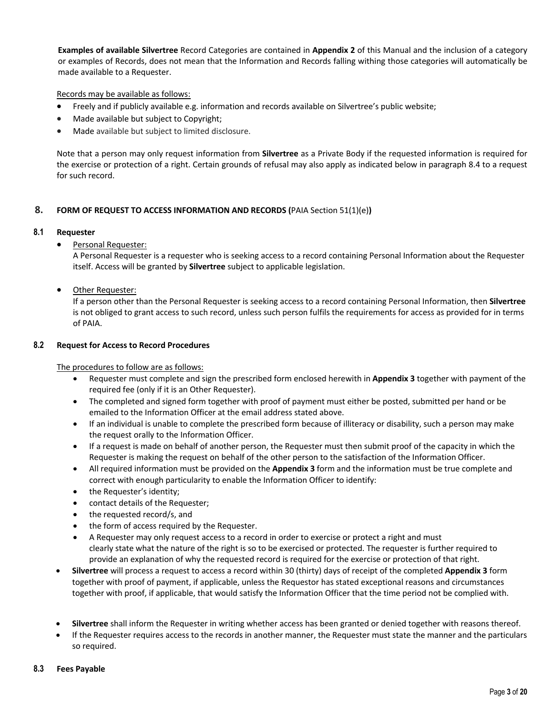**Examples of available Silvertree** Record Categories are contained in **Appendix 2** of this Manual and the inclusion of a category or examples of Records, does not mean that the Information and Records falling withing those categories will automatically be made available to a Requester.

Records may be available as follows:

- Freely and if publicly available e.g. information and records available on Silvertree's public website;
- Made available but subject to Copyright;
- Made available but subject to limited disclosure.

Note that a person may only request information from **Silvertree** as a Private Body if the requested information is required for the exercise or protection of a right. Certain grounds of refusal may also apply as indicated below in paragraph 8.4 to a request for such record.

# **8. FORM OF REQUEST TO ACCESS INFORMATION AND RECORDS (**PAIA Section 51(1)(e)**)**

# **8.1 Requester**

• Personal Requester:

A Personal Requester is a requester who is seeking access to a record containing Personal Information about the Requester itself. Access will be granted by **Silvertree** subject to applicable legislation.

• Other Requester:

If a person other than the Personal Requester is seeking access to a record containing Personal Information, then **Silvertree** is not obliged to grant access to such record, unless such person fulfils the requirements for access as provided for in terms of PAIA.

# **8.2 Request for Access to Record Procedures**

The procedures to follow are as follows:

- Requester must complete and sign the prescribed form enclosed herewith in **Appendix 3** together with payment of the required fee (only if it is an Other Requester).
- The completed and signed form together with proof of payment must either be posted, submitted per hand or be emailed to the Information Officer at the email address stated above.
- If an individual is unable to complete the prescribed form because of illiteracy or disability, such a person may make the request orally to the Information Officer.
- If a request is made on behalf of another person, the Requester must then submit proof of the capacity in which the Requester is making the request on behalf of the other person to the satisfaction of the Information Officer.
- All required information must be provided on the **Appendix 3** form and the information must be true complete and correct with enough particularity to enable the Information Officer to identify:
- the Requester's identity;
- contact details of the Requester;
- the requested record/s, and
- the form of access required by the Requester.
- A Requester may only request access to a record in order to exercise or protect a right and must clearly state what the nature of the right is so to be exercised or protected. The requester is further required to provide an explanation of why the requested record is required for the exercise or protection of that right.
- **Silvertree** will process a request to access a record within 30 (thirty) days of receipt of the completed **Appendix 3** form together with proof of payment, if applicable, unless the Requestor has stated exceptional reasons and circumstances together with proof, if applicable, that would satisfy the Information Officer that the time period not be complied with.
- **Silvertree** shall inform the Requester in writing whether access has been granted or denied together with reasons thereof.
- If the Requester requires access to the records in another manner, the Requester must state the manner and the particulars so required.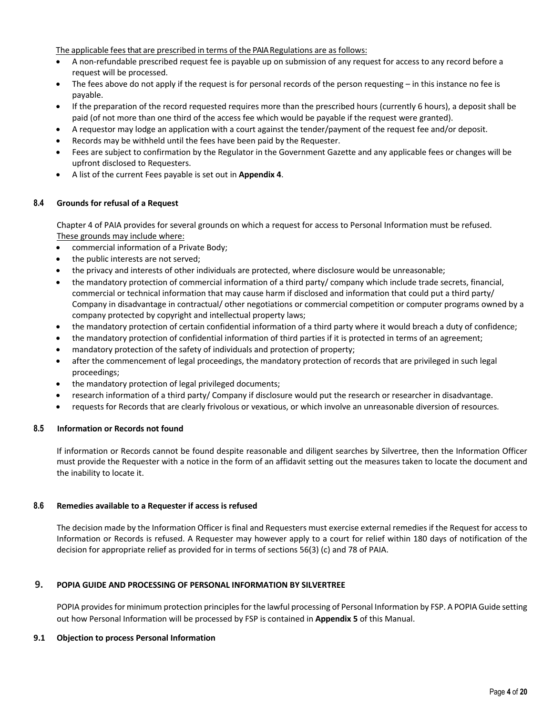The applicable feesthat are prescribed in terms of the PAIA Regulations are as follows:

- A non-refundable prescribed request fee is payable up on submission of any request for access to any record before a request will be processed.
- The fees above do not apply if the request is for personal records of the person requesting in this instance no fee is payable.
- If the preparation of the record requested requires more than the prescribed hours (currently 6 hours), a deposit shall be paid (of not more than one third of the access fee which would be payable if the request were granted).
- A requestor may lodge an application with a court against the tender/payment of the request fee and/or deposit.
- Records may be withheld until the fees have been paid by the Requester.
- Fees are subject to confirmation by the Regulator in the Government Gazette and any applicable fees or changes will be upfront disclosed to Requesters.
- A list of the current Fees payable is set out in **Appendix 4**.

# **8.4 Grounds for refusal of a Request**

Chapter 4 of PAIA provides for several grounds on which a request for access to Personal Information must be refused. These grounds may include where:

- commercial information of a Private Body;
- the public interests are not served;
- the privacy and interests of other individuals are protected, where disclosure would be unreasonable;
- the mandatory protection of commercial information of a third party/ company which include trade secrets, financial, commercial or technical information that may cause harm if disclosed and information that could put a third party/ Company in disadvantage in contractual/ other negotiations or commercial competition or computer programs owned by a company protected by copyright and intellectual property laws;
- the mandatory protection of certain confidential information of a third party where it would breach a duty of confidence;
- the mandatory protection of confidential information of third parties if it is protected in terms of an agreement;
- mandatory protection of the safety of individuals and protection of property;
- after the commencement of legal proceedings, the mandatory protection of records that are privileged in such legal proceedings;
- the mandatory protection of legal privileged documents;
- research information of a third party/ Company if disclosure would put the research or researcher in disadvantage.
- requests for Records that are clearly frivolous or vexatious, or which involve an unreasonable diversion of resources.

# **8.5 Information or Records not found**

If information or Records cannot be found despite reasonable and diligent searches by Silvertree, then the Information Officer must provide the Requester with a notice in the form of an affidavit setting out the measures taken to locate the document and the inability to locate it.

#### **8.6 Remedies available to a Requester if access is refused**

The decision made by the Information Officer is final and Requesters must exercise external remedies if the Request for access to Information or Records is refused. A Requester may however apply to a court for relief within 180 days of notification of the decision for appropriate relief as provided for in terms of sections 56(3) (c) and 78 of PAIA.

# **9. POPIA GUIDE AND PROCESSING OF PERSONAL INFORMATION BY SILVERTREE**

POPIA provides for minimum protection principles for the lawful processing of Personal Information by FSP. A POPIA Guide setting out how Personal Information will be processed by FSP is contained in **Appendix 5** of this Manual.

#### **9.1 Objection to process Personal Information**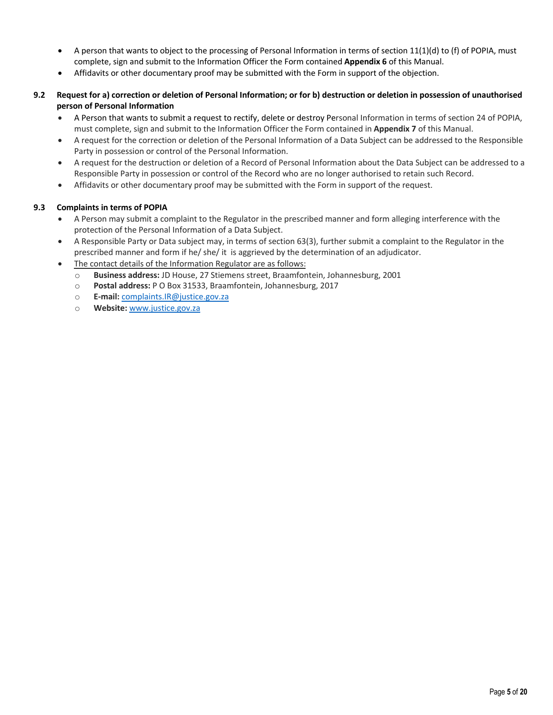- A person that wants to object to the processing of Personal Information in terms of section 11(1)(d) to (f) of POPIA, must complete, sign and submit to the Information Officer the Form contained **Appendix 6** of this Manual.
- Affidavits or other documentary proof may be submitted with the Form in support of the objection.
- **9.2 Request for a) correction or deletion of Personal Information; or for b) destruction or deletion in possession of unauthorised person of Personal Information** 
	- A Person that wants to submit a request to rectify, delete or destroy Personal Information in terms of section 24 of POPIA, must complete, sign and submit to the Information Officer the Form contained in **Appendix 7** of this Manual.
	- A request for the correction or deletion of the Personal Information of a Data Subject can be addressed to the Responsible Party in possession or control of the Personal Information.
	- A request for the destruction or deletion of a Record of Personal Information about the Data Subject can be addressed to a Responsible Party in possession or control of the Record who are no longer authorised to retain such Record.
	- Affidavits or other documentary proof may be submitted with the Form in support of the request.

#### **9.3 Complaints in terms of POPIA**

- A Person may submit a complaint to the Regulator in the prescribed manner and form alleging interference with the protection of the Personal Information of a Data Subject.
- A Responsible Party or Data subject may, in terms of section 63(3), further submit a complaint to the Regulator in the prescribed manner and form if he/ she/ it is aggrieved by the determination of an adjudicator.
- The contact details of the Information Regulator are as follows:
	- o **Business address:** JD House, 27 Stiemens street, Braamfontein, Johannesburg, 2001
	- o **Postal address:** P O Box 31533, Braamfontein, Johannesburg, 2017
	- o **E-mail:** complaints.IR@justice.gov.za
	- o **Website:** www.justice.gov.za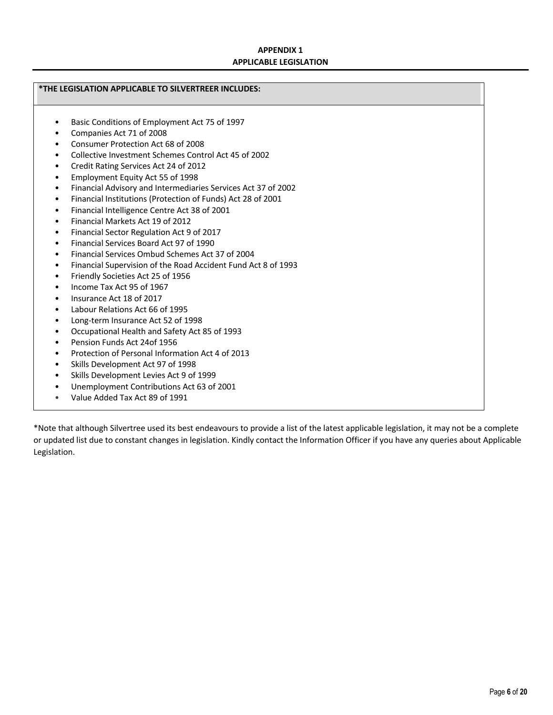# **APPENDIX 1 APPLICABLE LEGISLATION**

## **\*THE LEGISLATION APPLICABLE TO SILVERTREER INCLUDES:**

- Basic Conditions of Employment Act 75 of 1997
- Companies Act 71 of 2008
- Consumer Protection Act 68 of 2008
- Collective Investment Schemes Control Act 45 of 2002
- Credit Rating Services Act 24 of 2012
- Employment Equity Act 55 of 1998
- Financial Advisory and Intermediaries Services Act 37 of 2002
- Financial Institutions (Protection of Funds) Act 28 of 2001
- Financial Intelligence Centre Act 38 of 2001
- Financial Markets Act 19 of 2012
- Financial Sector Regulation Act 9 of 2017
- Financial Services Board Act 97 of 1990
- Financial Services Ombud Schemes Act 37 of 2004
- Financial Supervision of the Road Accident Fund Act 8 of 1993
- Friendly Societies Act 25 of 1956
- Income Tax Act 95 of 1967
- Insurance Act 18 of 2017
- Labour Relations Act 66 of 1995
- Long-term Insurance Act 52 of 1998
- Occupational Health and Safety Act 85 of 1993
- Pension Funds Act 24of 1956
- Protection of Personal Information Act 4 of 2013
- Skills Development Act 97 of 1998
- Skills Development Levies Act 9 of 1999
- Unemployment Contributions Act 63 of 2001
- Value Added Tax Act 89 of 1991

\*Note that although Silvertree used its best endeavours to provide a list of the latest applicable legislation, it may not be a complete or updated list due to constant changes in legislation. Kindly contact the Information Officer if you have any queries about Applicable Legislation.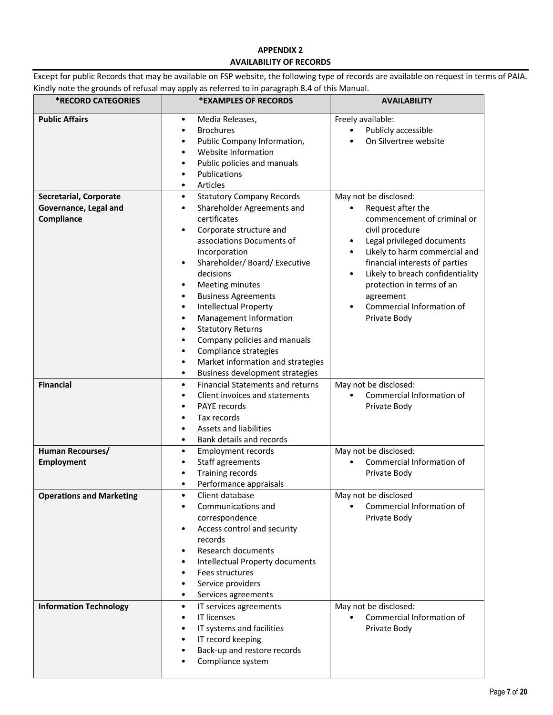# **APPENDIX 2 AVAILABILITY OF RECORDS**

Except for public Records that may be available on FSP website, the following type of records are available on request in terms of PAIA. Kindly note the grounds of refusal may apply as referred to in paragraph 8.4 of this Manual.

| <b>*RECORD CATEGORIES</b>                                            | *EXAMPLES OF RECORDS                                                                                                                                                                                                                                                                                                                                                                                                                                                                                                                                                                    | <b>AVAILABILITY</b>                                                                                                                                                                                                                                                                                                                                                                       |
|----------------------------------------------------------------------|-----------------------------------------------------------------------------------------------------------------------------------------------------------------------------------------------------------------------------------------------------------------------------------------------------------------------------------------------------------------------------------------------------------------------------------------------------------------------------------------------------------------------------------------------------------------------------------------|-------------------------------------------------------------------------------------------------------------------------------------------------------------------------------------------------------------------------------------------------------------------------------------------------------------------------------------------------------------------------------------------|
| <b>Public Affairs</b>                                                | Media Releases,<br>$\bullet$<br><b>Brochures</b><br>$\bullet$<br>Public Company Information,<br>Website Information<br>Public policies and manuals<br>$\bullet$<br>Publications<br>$\bullet$<br>Articles<br>$\bullet$                                                                                                                                                                                                                                                                                                                                                                   | Freely available:<br>Publicly accessible<br>On Silvertree website                                                                                                                                                                                                                                                                                                                         |
| <b>Secretarial, Corporate</b><br>Governance, Legal and<br>Compliance | <b>Statutory Company Records</b><br>$\bullet$<br>Shareholder Agreements and<br>$\bullet$<br>certificates<br>Corporate structure and<br>$\bullet$<br>associations Documents of<br>Incorporation<br>Shareholder/ Board/ Executive<br>$\bullet$<br>decisions<br>Meeting minutes<br>$\bullet$<br><b>Business Agreements</b><br>$\bullet$<br>Intellectual Property<br>$\bullet$<br>Management Information<br>$\bullet$<br><b>Statutory Returns</b><br>$\bullet$<br>Company policies and manuals<br>٠<br>Compliance strategies<br>$\bullet$<br>Market information and strategies<br>$\bullet$ | May not be disclosed:<br>Request after the<br>$\bullet$<br>commencement of criminal or<br>civil procedure<br>Legal privileged documents<br>$\bullet$<br>Likely to harm commercial and<br>$\bullet$<br>financial interests of parties<br>Likely to breach confidentiality<br>$\bullet$<br>protection in terms of an<br>agreement<br>Commercial Information of<br>$\bullet$<br>Private Body |
| <b>Financial</b>                                                     | Business development strategies<br>$\bullet$<br><b>Financial Statements and returns</b><br>$\bullet$<br>Client invoices and statements<br>$\bullet$<br>PAYE records<br>٠<br>Tax records<br>Assets and liabilities<br>Bank details and records<br>٠                                                                                                                                                                                                                                                                                                                                      | May not be disclosed:<br>Commercial Information of<br>$\bullet$<br>Private Body                                                                                                                                                                                                                                                                                                           |
| Human Recourses/<br>Employment                                       | <b>Employment records</b><br>$\bullet$<br>Staff agreements<br>$\bullet$<br><b>Training records</b><br>$\bullet$<br>Performance appraisals<br>$\bullet$                                                                                                                                                                                                                                                                                                                                                                                                                                  | May not be disclosed:<br>Commercial Information of<br>Private Body                                                                                                                                                                                                                                                                                                                        |
| <b>Operations and Marketing</b>                                      | Client database<br>$\bullet$<br>Communications and<br>correspondence<br>Access control and security<br>records<br>Research documents<br>٠<br>Intellectual Property documents<br>Fees structures<br>٠<br>Service providers<br>Services agreements<br>$\bullet$                                                                                                                                                                                                                                                                                                                           | May not be disclosed<br>Commercial Information of<br>٠<br>Private Body                                                                                                                                                                                                                                                                                                                    |
| <b>Information Technology</b>                                        | IT services agreements<br>$\bullet$<br><b>IT licenses</b><br>$\bullet$<br>IT systems and facilities<br>٠<br>IT record keeping<br>٠<br>Back-up and restore records<br>Compliance system                                                                                                                                                                                                                                                                                                                                                                                                  | May not be disclosed:<br>Commercial Information of<br>$\bullet$<br>Private Body                                                                                                                                                                                                                                                                                                           |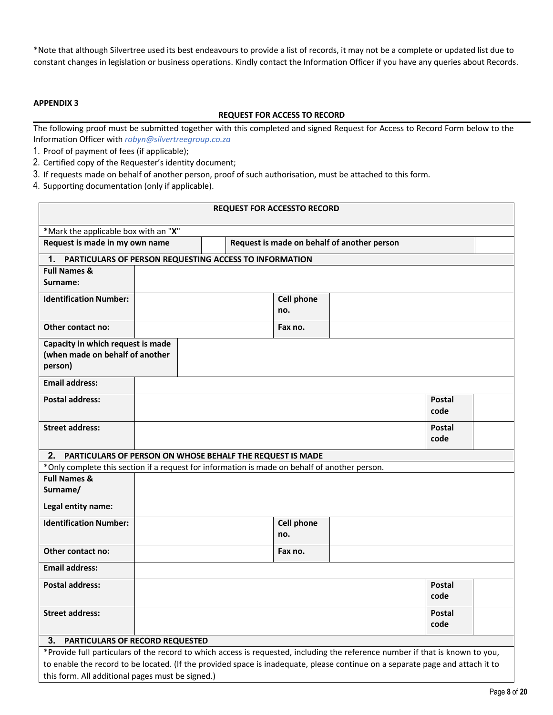\*Note that although Silvertree used its best endeavours to provide a list of records, it may not be a complete or updated list due to constant changes in legislation or business operations. Kindly contact the Information Officer if you have any queries about Records.

## **APPENDIX 3**

### **REQUEST FOR ACCESS TO RECORD**

The following proof must be submitted together with this completed and signed Request for Access to Record Form below to the Information Officer with *robyn@silvertreegroup.co.za*

- 1. Proof of payment of fees (if applicable);
- 2. Certified copy of the Requester's identity document;
- 3. If requests made on behalf of another person, proof of such authorisation, must be attached to this form.
- 4. Supporting documentation (only if applicable).

| <b>REQUEST FOR ACCESSTO RECORD</b>                                                                                            |                                                                                               |  |  |                   |               |  |
|-------------------------------------------------------------------------------------------------------------------------------|-----------------------------------------------------------------------------------------------|--|--|-------------------|---------------|--|
| *Mark the applicable box with an "X"                                                                                          |                                                                                               |  |  |                   |               |  |
| Request is made in my own name<br>Request is made on behalf of another person                                                 |                                                                                               |  |  |                   |               |  |
| 1. PARTICULARS OF PERSON REQUESTING ACCESS TO INFORMATION                                                                     |                                                                                               |  |  |                   |               |  |
| <b>Full Names &amp;</b>                                                                                                       |                                                                                               |  |  |                   |               |  |
| Surname:                                                                                                                      |                                                                                               |  |  |                   |               |  |
| <b>Identification Number:</b>                                                                                                 |                                                                                               |  |  | <b>Cell phone</b> |               |  |
|                                                                                                                               |                                                                                               |  |  | no.               |               |  |
| Other contact no:                                                                                                             |                                                                                               |  |  | Fax no.           |               |  |
| Capacity in which request is made                                                                                             |                                                                                               |  |  |                   |               |  |
| (when made on behalf of another                                                                                               |                                                                                               |  |  |                   |               |  |
| person)                                                                                                                       |                                                                                               |  |  |                   |               |  |
| <b>Email address:</b>                                                                                                         |                                                                                               |  |  |                   |               |  |
| <b>Postal address:</b>                                                                                                        |                                                                                               |  |  |                   | Postal        |  |
|                                                                                                                               |                                                                                               |  |  |                   | code          |  |
| <b>Street address:</b>                                                                                                        |                                                                                               |  |  |                   | Postal        |  |
|                                                                                                                               |                                                                                               |  |  |                   | code          |  |
| 2.<br>PARTICULARS OF PERSON ON WHOSE BEHALF THE REQUEST IS MADE                                                               |                                                                                               |  |  |                   |               |  |
|                                                                                                                               | *Only complete this section if a request for information is made on behalf of another person. |  |  |                   |               |  |
| <b>Full Names &amp;</b>                                                                                                       |                                                                                               |  |  |                   |               |  |
| Surname/                                                                                                                      |                                                                                               |  |  |                   |               |  |
| Legal entity name:                                                                                                            |                                                                                               |  |  |                   |               |  |
| <b>Identification Number:</b>                                                                                                 |                                                                                               |  |  | <b>Cell phone</b> |               |  |
|                                                                                                                               |                                                                                               |  |  | no.               |               |  |
| Other contact no:                                                                                                             |                                                                                               |  |  | Fax no.           |               |  |
| <b>Email address:</b>                                                                                                         |                                                                                               |  |  |                   |               |  |
| <b>Postal address:</b>                                                                                                        |                                                                                               |  |  |                   | <b>Postal</b> |  |
|                                                                                                                               |                                                                                               |  |  |                   | code          |  |
| <b>Street address:</b>                                                                                                        |                                                                                               |  |  |                   | <b>Postal</b> |  |
|                                                                                                                               |                                                                                               |  |  |                   | code          |  |
| PARTICULARS OF RECORD REQUESTED<br>З.                                                                                         |                                                                                               |  |  |                   |               |  |
| *Provide full particulars of the record to which access is requested, including the reference number if that is known to you, |                                                                                               |  |  |                   |               |  |
| to enable the record to be located. (If the provided space is inadequate, please continue on a separate page and attach it to |                                                                                               |  |  |                   |               |  |
| this form. All additional pages must be signed.)                                                                              |                                                                                               |  |  |                   |               |  |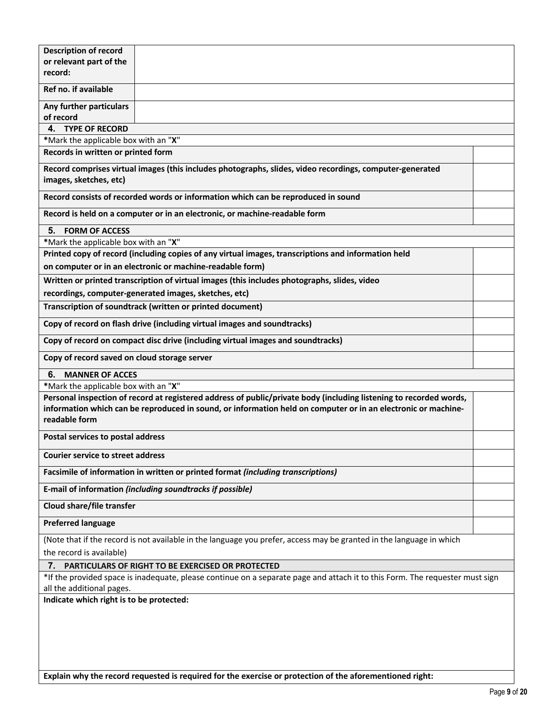| <b>Description of record</b>                                                                                                                                                                                                                         |                                                                                                          |  |  |  |
|------------------------------------------------------------------------------------------------------------------------------------------------------------------------------------------------------------------------------------------------------|----------------------------------------------------------------------------------------------------------|--|--|--|
| or relevant part of the                                                                                                                                                                                                                              |                                                                                                          |  |  |  |
| record:                                                                                                                                                                                                                                              |                                                                                                          |  |  |  |
| Ref no. if available                                                                                                                                                                                                                                 |                                                                                                          |  |  |  |
| Any further particulars<br>of record                                                                                                                                                                                                                 |                                                                                                          |  |  |  |
| 4. TYPE OF RECORD                                                                                                                                                                                                                                    |                                                                                                          |  |  |  |
| *Mark the applicable box with an "X"                                                                                                                                                                                                                 |                                                                                                          |  |  |  |
| Records in written or printed form                                                                                                                                                                                                                   |                                                                                                          |  |  |  |
|                                                                                                                                                                                                                                                      | Record comprises virtual images (this includes photographs, slides, video recordings, computer-generated |  |  |  |
| images, sketches, etc)                                                                                                                                                                                                                               |                                                                                                          |  |  |  |
|                                                                                                                                                                                                                                                      | Record consists of recorded words or information which can be reproduced in sound                        |  |  |  |
|                                                                                                                                                                                                                                                      |                                                                                                          |  |  |  |
|                                                                                                                                                                                                                                                      | Record is held on a computer or in an electronic, or machine-readable form                               |  |  |  |
| <b>FORM OF ACCESS</b><br>5.                                                                                                                                                                                                                          |                                                                                                          |  |  |  |
| *Mark the applicable box with an "X"                                                                                                                                                                                                                 |                                                                                                          |  |  |  |
|                                                                                                                                                                                                                                                      | Printed copy of record (including copies of any virtual images, transcriptions and information held      |  |  |  |
|                                                                                                                                                                                                                                                      | on computer or in an electronic or machine-readable form)                                                |  |  |  |
|                                                                                                                                                                                                                                                      | Written or printed transcription of virtual images (this includes photographs, slides, video             |  |  |  |
|                                                                                                                                                                                                                                                      | recordings, computer-generated images, sketches, etc)                                                    |  |  |  |
|                                                                                                                                                                                                                                                      | Transcription of soundtrack (written or printed document)                                                |  |  |  |
|                                                                                                                                                                                                                                                      | Copy of record on flash drive (including virtual images and soundtracks)                                 |  |  |  |
|                                                                                                                                                                                                                                                      | Copy of record on compact disc drive (including virtual images and soundtracks)                          |  |  |  |
| Copy of record saved on cloud storage server                                                                                                                                                                                                         |                                                                                                          |  |  |  |
| <b>MANNER OF ACCES</b><br>6.                                                                                                                                                                                                                         |                                                                                                          |  |  |  |
| *Mark the applicable box with an "X"                                                                                                                                                                                                                 |                                                                                                          |  |  |  |
| Personal inspection of record at registered address of public/private body (including listening to recorded words,<br>information which can be reproduced in sound, or information held on computer or in an electronic or machine-<br>readable form |                                                                                                          |  |  |  |
| Postal services to postal address                                                                                                                                                                                                                    |                                                                                                          |  |  |  |
| <b>Courier service to street address</b>                                                                                                                                                                                                             |                                                                                                          |  |  |  |
|                                                                                                                                                                                                                                                      | Facsimile of information in written or printed format (including transcriptions)                         |  |  |  |
|                                                                                                                                                                                                                                                      | E-mail of information (including soundtracks if possible)                                                |  |  |  |
| Cloud share/file transfer                                                                                                                                                                                                                            |                                                                                                          |  |  |  |
| <b>Preferred language</b>                                                                                                                                                                                                                            |                                                                                                          |  |  |  |
| (Note that if the record is not available in the language you prefer, access may be granted in the language in which                                                                                                                                 |                                                                                                          |  |  |  |
| the record is available)                                                                                                                                                                                                                             |                                                                                                          |  |  |  |
| 7.                                                                                                                                                                                                                                                   | PARTICULARS OF RIGHT TO BE EXERCISED OR PROTECTED                                                        |  |  |  |
| *If the provided space is inadequate, please continue on a separate page and attach it to this Form. The requester must sign<br>all the additional pages.                                                                                            |                                                                                                          |  |  |  |
| Indicate which right is to be protected:                                                                                                                                                                                                             |                                                                                                          |  |  |  |
|                                                                                                                                                                                                                                                      |                                                                                                          |  |  |  |
|                                                                                                                                                                                                                                                      |                                                                                                          |  |  |  |
|                                                                                                                                                                                                                                                      |                                                                                                          |  |  |  |
|                                                                                                                                                                                                                                                      |                                                                                                          |  |  |  |
|                                                                                                                                                                                                                                                      |                                                                                                          |  |  |  |

**Explain why the record requested is required for the exercise or protection of the aforementioned right:**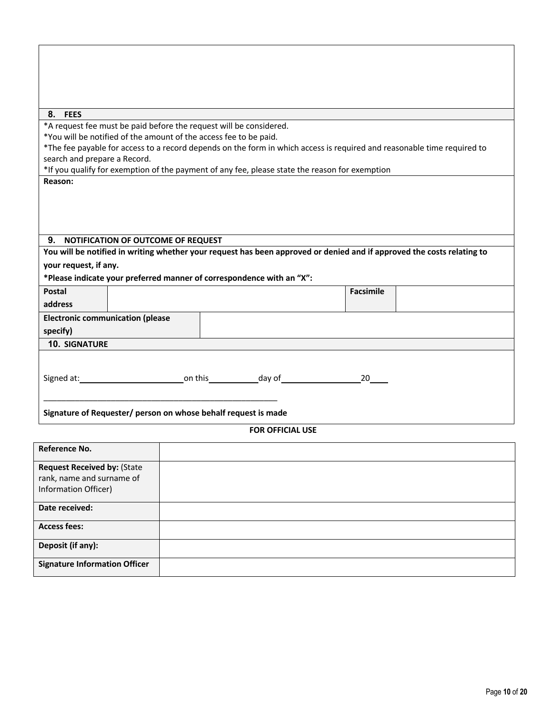| 8. FEES<br>*A request fee must be paid before the request will be considered.                                           |                         |                  |  |
|-------------------------------------------------------------------------------------------------------------------------|-------------------------|------------------|--|
| *You will be notified of the amount of the access fee to be paid.                                                       |                         |                  |  |
| *The fee payable for access to a record depends on the form in which access is required and reasonable time required to |                         |                  |  |
| search and prepare a Record.                                                                                            |                         |                  |  |
| *If you qualify for exemption of the payment of any fee, please state the reason for exemption                          |                         |                  |  |
| Reason:                                                                                                                 |                         |                  |  |
|                                                                                                                         |                         |                  |  |
|                                                                                                                         |                         |                  |  |
|                                                                                                                         |                         |                  |  |
| 9.<br>NOTIFICATION OF OUTCOME OF REQUEST                                                                                |                         |                  |  |
| You will be notified in writing whether your request has been approved or denied and if approved the costs relating to  |                         |                  |  |
| your request, if any.                                                                                                   |                         |                  |  |
| *Please indicate your preferred manner of correspondence with an "X":                                                   |                         |                  |  |
| Postal                                                                                                                  |                         | <b>Facsimile</b> |  |
| address                                                                                                                 |                         |                  |  |
| <b>Electronic communication (please</b>                                                                                 |                         |                  |  |
| specify)                                                                                                                |                         |                  |  |
| <b>10. SIGNATURE</b>                                                                                                    |                         |                  |  |
|                                                                                                                         |                         |                  |  |
|                                                                                                                         |                         |                  |  |
| Signed at: 20                                                                                                           |                         |                  |  |
|                                                                                                                         |                         |                  |  |
|                                                                                                                         |                         |                  |  |
| Signature of Requester/ person on whose behalf request is made                                                          |                         |                  |  |
|                                                                                                                         | <b>FOR OFFICIAL USE</b> |                  |  |
| Reference No.                                                                                                           |                         |                  |  |
| <b>Request Received by: (State</b>                                                                                      |                         |                  |  |
| rank, name and surname of                                                                                               |                         |                  |  |
| Information Officer)                                                                                                    |                         |                  |  |

| Date received:                       |  |
|--------------------------------------|--|
| <b>Access fees:</b>                  |  |
| Deposit (if any):                    |  |
| <b>Signature Information Officer</b> |  |
|                                      |  |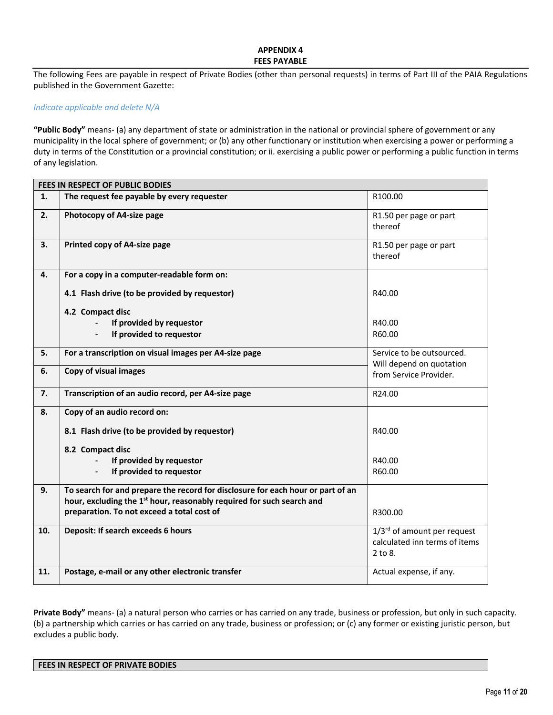### **APPENDIX 4 FEES PAYABLE**

The following Fees are payable in respect of Private Bodies (other than personal requests) in terms of Part III of the PAIA Regulations published in the Government Gazette:

#### *Indicate applicable and delete N/A*

**"Public Body"** means- (a) any department of state or administration in the national or provincial sphere of government or any municipality in the local sphere of government; or (b) any other functionary or institution when exercising a power or performing a duty in terms of the Constitution or a provincial constitution; or ii. exercising a public power or performing a public function in terms of any legislation.

|     | <b>FEES IN RESPECT OF PUBLIC BODIES</b>                                           |                                                       |  |  |  |
|-----|-----------------------------------------------------------------------------------|-------------------------------------------------------|--|--|--|
| 1.  | The request fee payable by every requester                                        | R100.00                                               |  |  |  |
| 2.  | Photocopy of A4-size page                                                         | R1.50 per page or part<br>thereof                     |  |  |  |
| 3.  | Printed copy of A4-size page                                                      | R1.50 per page or part<br>thereof                     |  |  |  |
| 4.  | For a copy in a computer-readable form on:                                        |                                                       |  |  |  |
|     | 4.1 Flash drive (to be provided by requestor)                                     | R40.00                                                |  |  |  |
|     | 4.2 Compact disc                                                                  |                                                       |  |  |  |
|     | If provided by requestor                                                          | R40.00                                                |  |  |  |
|     | If provided to requestor                                                          | R60.00                                                |  |  |  |
| 5.  | For a transcription on visual images per A4-size page                             | Service to be outsourced.<br>Will depend on quotation |  |  |  |
| 6.  | Copy of visual images                                                             | from Service Provider.                                |  |  |  |
| 7.  | Transcription of an audio record, per A4-size page                                | R24.00                                                |  |  |  |
| 8.  | Copy of an audio record on:                                                       |                                                       |  |  |  |
|     | 8.1 Flash drive (to be provided by requestor)                                     | R40.00                                                |  |  |  |
|     | 8.2 Compact disc                                                                  |                                                       |  |  |  |
|     | If provided by requestor                                                          | R40.00                                                |  |  |  |
|     | If provided to requestor                                                          | R60.00                                                |  |  |  |
| 9.  | To search for and prepare the record for disclosure for each hour or part of an   |                                                       |  |  |  |
|     | hour, excluding the 1 <sup>st</sup> hour, reasonably required for such search and |                                                       |  |  |  |
|     | preparation. To not exceed a total cost of                                        | R300.00                                               |  |  |  |
| 10. | Deposit: If search exceeds 6 hours                                                | 1/3rd of amount per request                           |  |  |  |
|     |                                                                                   | calculated inn terms of items                         |  |  |  |
|     |                                                                                   | 2 to 8.                                               |  |  |  |
| 11. | Postage, e-mail or any other electronic transfer                                  | Actual expense, if any.                               |  |  |  |

**Private Body"** means- (a) a natural person who carries or has carried on any trade, business or profession, but only in such capacity. (b) a partnership which carries or has carried on any trade, business or profession; or (c) any former or existing juristic person, but excludes a public body.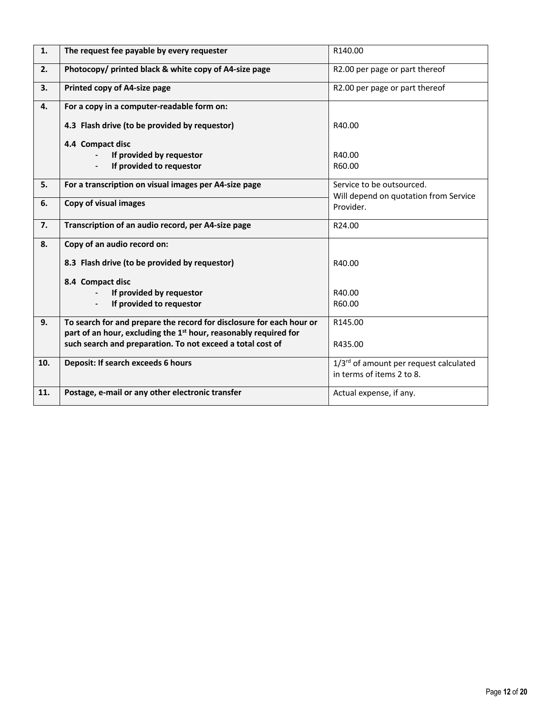| 1.  | The request fee payable by every requester                                   | R140.00                                                            |
|-----|------------------------------------------------------------------------------|--------------------------------------------------------------------|
| 2.  | Photocopy/ printed black & white copy of A4-size page                        | R2.00 per page or part thereof                                     |
| 3.  | Printed copy of A4-size page                                                 | R2.00 per page or part thereof                                     |
| 4.  | For a copy in a computer-readable form on:                                   |                                                                    |
|     | 4.3 Flash drive (to be provided by requestor)                                | R40.00                                                             |
|     | 4.4 Compact disc                                                             |                                                                    |
|     | If provided by requestor                                                     | R40.00                                                             |
|     | If provided to requestor                                                     | R60.00                                                             |
| 5.  | For a transcription on visual images per A4-size page                        | Service to be outsourced.<br>Will depend on quotation from Service |
| 6.  | Copy of visual images                                                        | Provider.                                                          |
| 7.  | Transcription of an audio record, per A4-size page                           | R24.00                                                             |
| 8.  | Copy of an audio record on:                                                  |                                                                    |
|     | 8.3 Flash drive (to be provided by requestor)                                | R40.00                                                             |
|     | 8.4 Compact disc                                                             |                                                                    |
|     | If provided by requestor                                                     | R40.00                                                             |
|     | If provided to requestor                                                     | R60.00                                                             |
| 9.  | To search for and prepare the record for disclosure for each hour or         | R145.00                                                            |
|     | part of an hour, excluding the 1 <sup>st</sup> hour, reasonably required for |                                                                    |
|     | such search and preparation. To not exceed a total cost of                   | R435.00                                                            |
| 10. | Deposit: If search exceeds 6 hours                                           | 1/3rd of amount per request calculated                             |
|     |                                                                              | in terms of items 2 to 8.                                          |
| 11. | Postage, e-mail or any other electronic transfer                             | Actual expense, if any.                                            |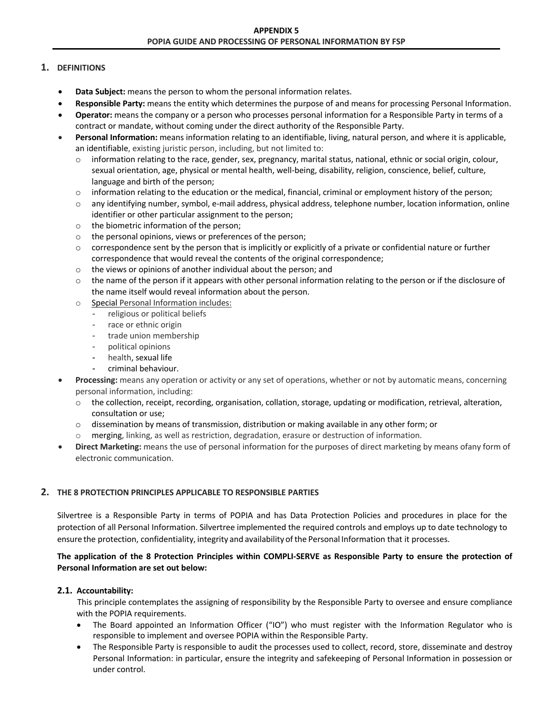# **1. DEFINITIONS**

- **Data Subject:** means the person to whom the personal information relates.
- **Responsible Party:** means the entity which determines the purpose of and means for processing Personal Information.
- **Operator:** means the company or a person who processes personal information for a Responsible Party in terms of a contract or mandate, without coming under the direct authority of the Responsible Party.
- **Personal Information:** means information relating to an identifiable, living, natural person, and where it is applicable, an identifiable, existing juristic person, including, but not limited to:
	- $\circ$  information relating to the race, gender, sex, pregnancy, marital status, national, ethnic or social origin, colour, sexual orientation, age, physical or mental health, well-being, disability, religion, conscience, belief, culture, language and birth of the person;
	- $\circ$  information relating to the education or the medical, financial, criminal or employment history of the person;
	- o any identifying number, symbol, e-mail address, physical address, telephone number, location information, online identifier or other particular assignment to the person;
	- o the biometric information of the person;
	- o the personal opinions, views or preferences of the person;
	- $\circ$  correspondence sent by the person that is implicitly or explicitly of a private or confidential nature or further correspondence that would reveal the contents of the original correspondence;
	- o the views or opinions of another individual about the person; and
	- $\circ$  the name of the person if it appears with other personal information relating to the person or if the disclosure of the name itself would reveal information about the person.
	- o Special Personal Information includes:
		- religious or political beliefs
		- race or ethnic origin
		- trade union membership
		- political opinions
		- health, sexual life
		- criminal behaviour.
- **Processing:** means any operation or activity or any set of operations, whether or not by automatic means, concerning personal information, including:
	- o the collection, receipt, recording, organisation, collation, storage, updating or modification, retrieval, alteration, consultation or use;
	- $\circ$  dissemination by means of transmission, distribution or making available in any other form; or
	- o merging, linking, as well as restriction, degradation, erasure or destruction of information.
- **Direct Marketing:** means the use of personal information for the purposes of direct marketing by means ofany form of electronic communication.

# **2. THE 8 PROTECTION PRINCIPLES APPLICABLE TO RESPONSIBLE PARTIES**

Silvertree is a Responsible Party in terms of POPIA and has Data Protection Policies and procedures in place for the protection of all Personal Information. Silvertree implemented the required controls and employs up to date technology to ensure the protection, confidentiality, integrity and availability of the Personal Information that it processes.

# **The application of the 8 Protection Principles within COMPLI-SERVE as Responsible Party to ensure the protection of Personal Information are set out below:**

# **2.1. Accountability:**

This principle contemplates the assigning of responsibility by the Responsible Party to oversee and ensure compliance with the POPIA requirements.

- The Board appointed an Information Officer ("IO") who must register with the Information Regulator who is responsible to implement and oversee POPIA within the Responsible Party.
- The Responsible Party is responsible to audit the processes used to collect, record, store, disseminate and destroy Personal Information: in particular, ensure the integrity and safekeeping of Personal Information in possession or under control.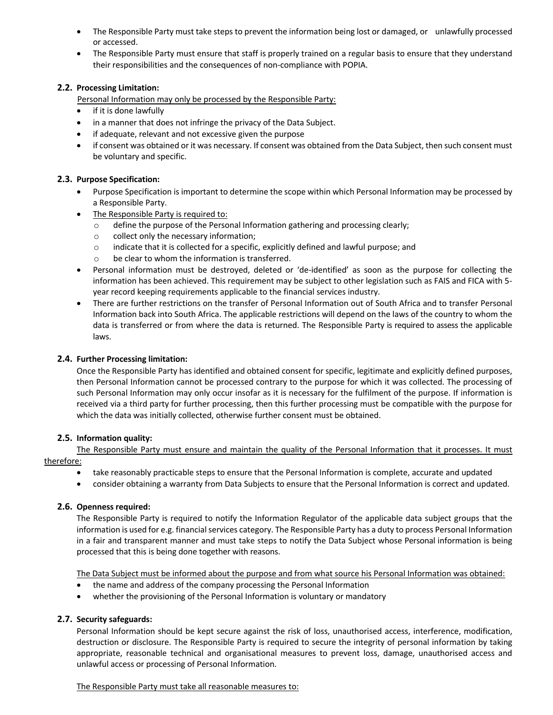- The Responsible Party must take steps to prevent the information being lost or damaged, or unlawfully processed or accessed.
- The Responsible Party must ensure that staff is properly trained on a regular basis to ensure that they understand their responsibilities and the consequences of non-compliance with POPIA.

# **2.2. Processing Limitation:**

Personal Information may only be processed by the Responsible Party:

- if it is done lawfully
- in a manner that does not infringe the privacy of the Data Subject.
- if adequate, relevant and not excessive given the purpose
- if consent was obtained or it was necessary. If consent was obtained from the Data Subject, then such consent must be voluntary and specific.

# **2.3. Purpose Specification:**

- Purpose Specification is important to determine the scope within which Personal Information may be processed by a Responsible Party.
- The Responsible Party is required to:
	- o define the purpose of the Personal Information gathering and processing clearly;
	- o collect only the necessary information;
	- $\circ$  indicate that it is collected for a specific, explicitly defined and lawful purpose; and
	- o be clear to whom the information is transferred.
- Personal information must be destroyed, deleted or 'de-identified' as soon as the purpose for collecting the information has been achieved. This requirement may be subject to other legislation such as FAIS and FICA with 5 year record keeping requirements applicable to the financial services industry.
- There are further restrictions on the transfer of Personal Information out of South Africa and to transfer Personal Information back into South Africa. The applicable restrictions will depend on the laws of the country to whom the data is transferred or from where the data is returned. The Responsible Party is required to assess the applicable laws.

# **2.4. Further Processing limitation:**

Once the Responsible Party has identified and obtained consent for specific, legitimate and explicitly defined purposes, then Personal Information cannot be processed contrary to the purpose for which it was collected. The processing of such Personal Information may only occur insofar as it is necessary for the fulfilment of the purpose. If information is received via a third party for further processing, then this further processing must be compatible with the purpose for which the data was initially collected, otherwise further consent must be obtained.

# **2.5. Information quality:**

The Responsible Party must ensure and maintain the quality of the Personal Information that it processes. It must therefore:

- take reasonably practicable steps to ensure that the Personal Information is complete, accurate and updated
- consider obtaining a warranty from Data Subjects to ensure that the Personal Information is correct and updated.

# **2.6. Openness required:**

The Responsible Party is required to notify the Information Regulator of the applicable data subject groups that the information is used for e.g. financial services category. The Responsible Party has a duty to process Personal Information in a fair and transparent manner and must take steps to notify the Data Subject whose Personal information is being processed that this is being done together with reasons.

The Data Subject must be informed about the purpose and from what source his Personal Information was obtained:

- the name and address of the company processing the Personal Information
- whether the provisioning of the Personal Information is voluntary or mandatory

# **2.7. Security safeguards:**

Personal Information should be kept secure against the risk of loss, unauthorised access, interference, modification, destruction or disclosure. The Responsible Party is required to secure the integrity of personal information by taking appropriate, reasonable technical and organisational measures to prevent loss, damage, unauthorised access and unlawful access or processing of Personal Information.

# The Responsible Party must take all reasonable measures to: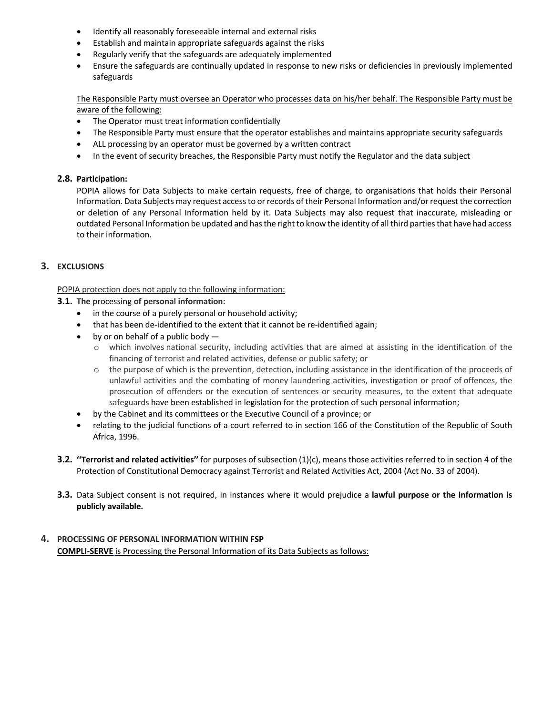- Identify all reasonably foreseeable internal and external risks
- Establish and maintain appropriate safeguards against the risks
- Regularly verify that the safeguards are adequately implemented
- Ensure the safeguards are continually updated in response to new risks or deficiencies in previously implemented safeguards

The Responsible Party must oversee an Operator who processes data on his/her behalf. The Responsible Party must be aware of the following:

- The Operator must treat information confidentially
- The Responsible Party must ensure that the operator establishes and maintains appropriate security safeguards
- ALL processing by an operator must be governed by a written contract
- In the event of security breaches, the Responsible Party must notify the Regulator and the data subject

# **2.8. Participation:**

POPIA allows for Data Subjects to make certain requests, free of charge, to organisations that holds their Personal Information. Data Subjects may request access to or records of their Personal Information and/or request the correction or deletion of any Personal Information held by it. Data Subjects may also request that inaccurate, misleading or outdated Personal Information be updated and has the right to know the identity of all third parties that have had access to their information.

# **3. EXCLUSIONS**

POPIA protection does not apply to the following information:

# **3.1. The** processing **of personal information:**

- in the course of a purely personal or household activity;
- that has been de-identified to the extent that it cannot be re-identified again;
- by or on behalf of a public body  $-$ 
	- $\circ$  which involves national security, including activities that are aimed at assisting in the identification of the financing of terrorist and related activities, defense or public safety; or
	- o the purpose of which is the prevention, detection, including assistance in the identification of the proceeds of unlawful activities and the combating of money laundering activities, investigation or proof of offences, the prosecution of offenders or the execution of sentences or security measures, to the extent that adequate safeguards have been established in legislation for the protection of such personal information;
- by the Cabinet and its committees or the Executive Council of a province; or
- relating to the judicial functions of a court referred to in section 166 of the Constitution of the Republic of South Africa, 1996.
- **3.2. ''Terrorist and related activities''** for purposes of subsection (1)(c), means those activities referred to in section 4 of the Protection of Constitutional Democracy against Terrorist and Related Activities Act, 2004 (Act No. 33 of 2004).
- **3.3.** Data Subject consent is not required, in instances where it would prejudice a **lawful purpose or the information is publicly available.**

# **4. PROCESSING OF PERSONAL INFORMATION WITHIN FSP COMPLI-SERVE** is Processing the Personal Information of its Data Subjects as follows: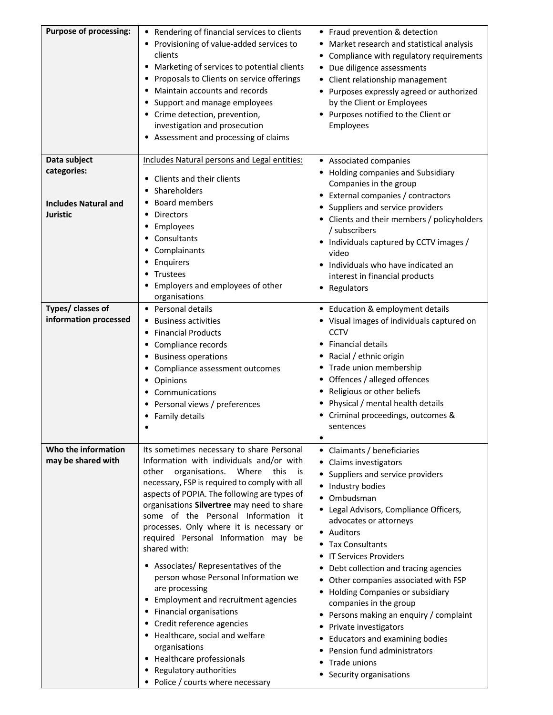| <b>Purpose of processing:</b>                                                 | Rendering of financial services to clients<br>Provisioning of value-added services to<br>clients<br>Marketing of services to potential clients<br>٠<br>Proposals to Clients on service offerings<br>٠<br>Maintain accounts and records<br>٠<br>Support and manage employees<br>٠<br>Crime detection, prevention,<br>investigation and prosecution<br>Assessment and processing of claims                                                                                                                                                                                                                                                                                                                                                                                                         | • Fraud prevention & detection<br>Market research and statistical analysis<br>٠<br>Compliance with regulatory requirements<br>Due diligence assessments<br>$\bullet$<br>Client relationship management<br>Purposes expressly agreed or authorized<br>by the Client or Employees<br>• Purposes notified to the Client or<br>Employees                                                                                                                                                                                                                                                                          |
|-------------------------------------------------------------------------------|--------------------------------------------------------------------------------------------------------------------------------------------------------------------------------------------------------------------------------------------------------------------------------------------------------------------------------------------------------------------------------------------------------------------------------------------------------------------------------------------------------------------------------------------------------------------------------------------------------------------------------------------------------------------------------------------------------------------------------------------------------------------------------------------------|---------------------------------------------------------------------------------------------------------------------------------------------------------------------------------------------------------------------------------------------------------------------------------------------------------------------------------------------------------------------------------------------------------------------------------------------------------------------------------------------------------------------------------------------------------------------------------------------------------------|
| Data subject<br>categories:<br><b>Includes Natural and</b><br><b>Juristic</b> | Includes Natural persons and Legal entities:<br>Clients and their clients<br>٠<br>Shareholders<br><b>Board members</b><br><b>Directors</b><br>Employees<br>Consultants<br>Complainants<br>٠<br>Enquirers<br>٠<br>Trustees<br>Employers and employees of other<br>organisations                                                                                                                                                                                                                                                                                                                                                                                                                                                                                                                   | • Associated companies<br>Holding companies and Subsidiary<br>Companies in the group<br>• External companies / contractors<br>• Suppliers and service providers<br>• Clients and their members / policyholders<br>/ subscribers<br>• Individuals captured by CCTV images /<br>video<br>Individuals who have indicated an<br>interest in financial products<br>• Regulators                                                                                                                                                                                                                                    |
| Types/ classes of<br>information processed                                    | Personal details<br><b>Business activities</b><br><b>Financial Products</b><br>Compliance records<br><b>Business operations</b><br>Compliance assessment outcomes<br>Opinions<br>٠<br>Communications<br>Personal views / preferences<br>Family details                                                                                                                                                                                                                                                                                                                                                                                                                                                                                                                                           | • Education & employment details<br>• Visual images of individuals captured on<br><b>CCTV</b><br>Financial details<br>Racial / ethnic origin<br>Trade union membership<br>Offences / alleged offences<br>Religious or other beliefs<br>Physical / mental health details<br>Criminal proceedings, outcomes &<br>sentences                                                                                                                                                                                                                                                                                      |
| Who the information<br>may be shared with                                     | Its sometimes necessary to share Personal<br>Information with individuals and/or with<br>other<br>organisations.<br>Where<br>this<br>is<br>necessary, FSP is required to comply with all<br>aspects of POPIA. The following are types of<br>organisations Silvertree may need to share<br>some of the Personal Information it<br>processes. Only where it is necessary or<br>required Personal Information may be<br>shared with:<br>• Associates/ Representatives of the<br>person whose Personal Information we<br>are processing<br>Employment and recruitment agencies<br><b>Financial organisations</b><br>٠<br>• Credit reference agencies<br>• Healthcare, social and welfare<br>organisations<br>• Healthcare professionals<br>Regulatory authorities<br>Police / courts where necessary | • Claimants / beneficiaries<br>• Claims investigators<br>Suppliers and service providers<br>Industry bodies<br>Ombudsman<br>• Legal Advisors, Compliance Officers,<br>advocates or attorneys<br>• Auditors<br><b>Tax Consultants</b><br><b>IT Services Providers</b><br>Debt collection and tracing agencies<br>• Other companies associated with FSP<br>• Holding Companies or subsidiary<br>companies in the group<br>Persons making an enquiry / complaint<br>٠<br>Private investigators<br><b>Educators and examining bodies</b><br>Pension fund administrators<br>Trade unions<br>Security organisations |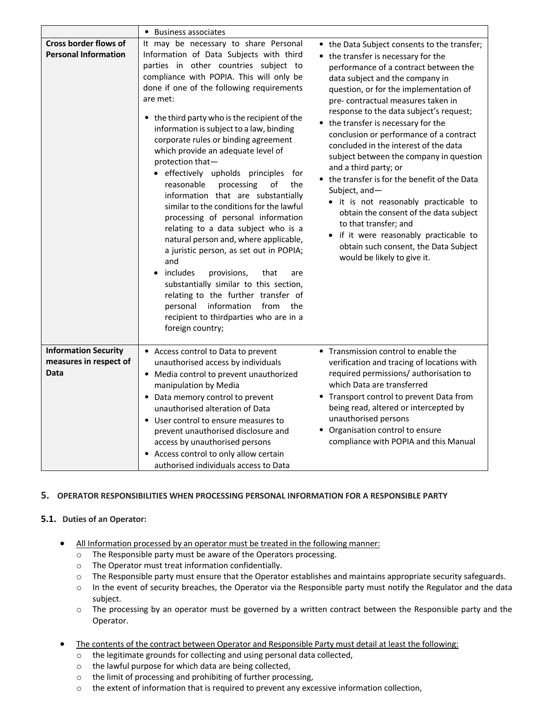|                                                               | • Business associates                                                                                                                                                                                                                                                                                                                                                                                                                                                                                                                                                                                                                                                                                                                                                                                                                                                                                                                                                                                       |                                                                                                                                                                                                                                                                                                                                                                                                                                                                                                                                                                                                                                                                                                                                                                                                                                                                                                        |  |
|---------------------------------------------------------------|-------------------------------------------------------------------------------------------------------------------------------------------------------------------------------------------------------------------------------------------------------------------------------------------------------------------------------------------------------------------------------------------------------------------------------------------------------------------------------------------------------------------------------------------------------------------------------------------------------------------------------------------------------------------------------------------------------------------------------------------------------------------------------------------------------------------------------------------------------------------------------------------------------------------------------------------------------------------------------------------------------------|--------------------------------------------------------------------------------------------------------------------------------------------------------------------------------------------------------------------------------------------------------------------------------------------------------------------------------------------------------------------------------------------------------------------------------------------------------------------------------------------------------------------------------------------------------------------------------------------------------------------------------------------------------------------------------------------------------------------------------------------------------------------------------------------------------------------------------------------------------------------------------------------------------|--|
| Cross border flows of<br><b>Personal Information</b>          | It may be necessary to share Personal<br>Information of Data Subjects with third<br>parties in other countries subject to<br>compliance with POPIA. This will only be<br>done if one of the following requirements<br>are met:<br>• the third party who is the recipient of the<br>information is subject to a law, binding<br>corporate rules or binding agreement<br>which provide an adequate level of<br>protection that-<br>• effectively upholds principles<br>for<br>reasonable<br>processing<br>of<br>the<br>information that are substantially<br>similar to the conditions for the lawful<br>processing of personal information<br>relating to a data subject who is a<br>natural person and, where applicable,<br>a juristic person, as set out in POPIA;<br>and<br>includes<br>provisions,<br>that<br>are<br>substantially similar to this section,<br>relating to the further transfer of<br>personal information<br>from<br>the<br>recipient to thirdparties who are in a<br>foreign country; | • the Data Subject consents to the transfer;<br>• the transfer is necessary for the<br>performance of a contract between the<br>data subject and the company in<br>question, or for the implementation of<br>pre-contractual measures taken in<br>response to the data subject's request;<br>• the transfer is necessary for the<br>conclusion or performance of a contract<br>concluded in the interest of the data<br>subject between the company in question<br>and a third party; or<br>• the transfer is for the benefit of the Data<br>Subject, and-<br>• it is not reasonably practicable to<br>obtain the consent of the data subject<br>to that transfer; and<br>if it were reasonably practicable to<br>obtain such consent, the Data Subject<br>would be likely to give it.<br>• Transmission control to enable the<br>required permissions/ authorisation to<br>which Data are transferred |  |
| <b>Information Security</b><br>measures in respect of<br>Data | Access control to Data to prevent<br>unauthorised access by individuals<br>• Media control to prevent unauthorized<br>manipulation by Media<br>• Data memory control to prevent<br>unauthorised alteration of Data<br>• User control to ensure measures to<br>prevent unauthorised disclosure and<br>access by unauthorised persons<br>• Access control to only allow certain<br>authorised individuals access to Data                                                                                                                                                                                                                                                                                                                                                                                                                                                                                                                                                                                      | verification and tracing of locations with<br>• Transport control to prevent Data from<br>being read, altered or intercepted by<br>unauthorised persons<br>• Organisation control to ensure<br>compliance with POPIA and this Manual                                                                                                                                                                                                                                                                                                                                                                                                                                                                                                                                                                                                                                                                   |  |

# **5. OPERATOR RESPONSIBILITIES WHEN PROCESSING PERSONAL INFORMATION FOR A RESPONSIBLE PARTY**

# **5.1. Duties of an Operator:**

- All Information processed by an operator must be treated in the following manner:
	- o The Responsible party must be aware of the Operators processing.
	- o The Operator must treat information confidentially.
	- $\circ$  The Responsible party must ensure that the Operator establishes and maintains appropriate security safeguards.
	- o In the event of security breaches, the Operator via the Responsible party must notify the Regulator and the data subject.
	- o The processing by an operator must be governed by a written contract between the Responsible party and the Operator.
- The contents of the contract between Operator and Responsible Party must detail at least the following:
	- o the legitimate grounds for collecting and using personal data collected,
	- o the lawful purpose for which data are being collected,
	- o the limit of processing and prohibiting of further processing,
	- $\circ$  the extent of information that is required to prevent any excessive information collection,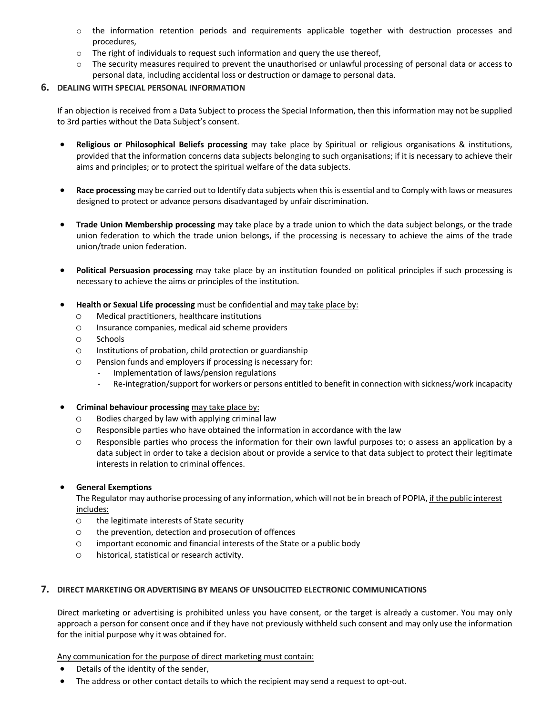- o the information retention periods and requirements applicable together with destruction processes and procedures,
- $\circ$  The right of individuals to request such information and query the use thereof,
- $\circ$  The security measures required to prevent the unauthorised or unlawful processing of personal data or access to personal data, including accidental loss or destruction or damage to personal data.

# **6. DEALING WITH SPECIAL PERSONAL INFORMATION**

If an objection is received from a Data Subject to process the Special Information, then this information may not be supplied to 3rd parties without the Data Subject's consent.

- **Religious or Philosophical Beliefs processing** may take place by Spiritual or religious organisations & institutions, provided that the information concerns data subjects belonging to such organisations; if it is necessary to achieve their aims and principles; or to protect the spiritual welfare of the data subjects.
- **Race processing** may be carried out to Identify data subjects when this is essential and to Comply with laws or measures designed to protect or advance persons disadvantaged by unfair discrimination.
- **Trade Union Membership processing** may take place by a trade union to which the data subject belongs, or the trade union federation to which the trade union belongs, if the processing is necessary to achieve the aims of the trade union/trade union federation.
- **Political Persuasion processing** may take place by an institution founded on political principles if such processing is necessary to achieve the aims or principles of the institution.
- **Health or Sexual Life processing** must be confidential and may take place by:
	- o Medical practitioners, healthcare institutions
	- o Insurance companies, medical aid scheme providers
	- o Schools
	- o Institutions of probation, child protection or guardianship
	- o Pension funds and employers if processing is necessary for:
		- Implementation of laws/pension regulations
		- Re-integration/support for workers or persons entitled to benefit in connection with sickness/work incapacity
- **Criminal behaviour processing** may take place by:
	- $\circ$  Bodies charged by law with applying criminal law
	- o Responsible parties who have obtained the information in accordance with the law
	- o Responsible parties who process the information for their own lawful purposes to; o assess an application by a data subject in order to take a decision about or provide a service to that data subject to protect their legitimate interests in relation to criminal offences.

# • **General Exemptions**

The Regulator may authorise processing of any information, which will not be in breach of POPIA, if the public interest includes:

- o the legitimate interests of State security
- o the prevention, detection and prosecution of offences
- o important economic and financial interests of the State or a public body
- o historical, statistical or research activity.

# **7. DIRECT MARKETING OR ADVERTISING BY MEANS OF UNSOLICITED ELECTRONIC COMMUNICATIONS**

Direct marketing or advertising is prohibited unless you have consent, or the target is already a customer. You may only approach a person for consent once and if they have not previously withheld such consent and may only use the information for the initial purpose why it was obtained for.

Any communication for the purpose of direct marketing must contain:

- Details of the identity of the sender,
- The address or other contact details to which the recipient may send a request to opt-out.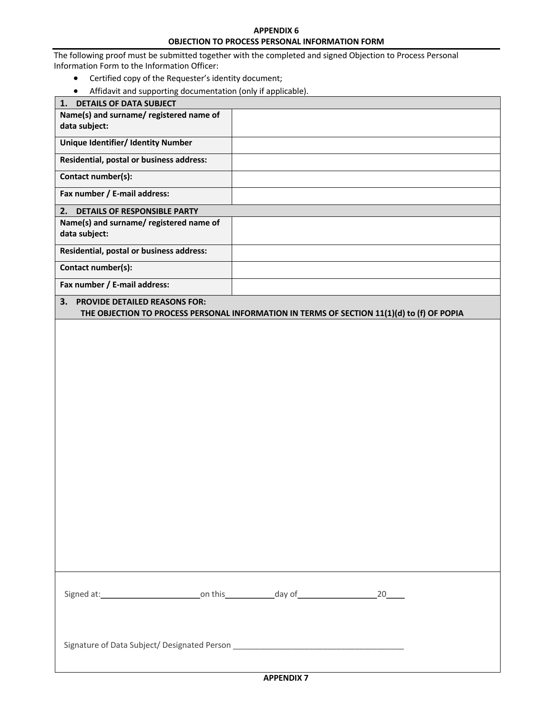# **APPENDIX 6 OBJECTION TO PROCESS PERSONAL INFORMATION FORM**

The following proof must be submitted together with the completed and signed Objection to Process Personal Information Form to the Information Officer:

- Certified copy of the Requester's identity document;
- Affidavit and supporting documentation (only if applicable).

| Amaavit and supporting documentation (only in applicable).                                                                        |  |  |  |
|-----------------------------------------------------------------------------------------------------------------------------------|--|--|--|
| 1. DETAILS OF DATA SUBJECT                                                                                                        |  |  |  |
| Name(s) and surname/ registered name of                                                                                           |  |  |  |
| data subject:                                                                                                                     |  |  |  |
| <b>Unique Identifier/ Identity Number</b>                                                                                         |  |  |  |
| Residential, postal or business address:                                                                                          |  |  |  |
| Contact number(s):                                                                                                                |  |  |  |
| Fax number / E-mail address:                                                                                                      |  |  |  |
| 2. DETAILS OF RESPONSIBLE PARTY                                                                                                   |  |  |  |
| Name(s) and surname/ registered name of<br>data subject:                                                                          |  |  |  |
| Residential, postal or business address:                                                                                          |  |  |  |
| Contact number(s):                                                                                                                |  |  |  |
| Fax number / E-mail address:                                                                                                      |  |  |  |
| 3.<br>PROVIDE DETAILED REASONS FOR:<br>THE OBJECTION TO PROCESS PERSONAL INFORMATION IN TERMS OF SECTION 11(1)(d) to (f) OF POPIA |  |  |  |
|                                                                                                                                   |  |  |  |
|                                                                                                                                   |  |  |  |
|                                                                                                                                   |  |  |  |
|                                                                                                                                   |  |  |  |
|                                                                                                                                   |  |  |  |
|                                                                                                                                   |  |  |  |
|                                                                                                                                   |  |  |  |
|                                                                                                                                   |  |  |  |
|                                                                                                                                   |  |  |  |
|                                                                                                                                   |  |  |  |
|                                                                                                                                   |  |  |  |
|                                                                                                                                   |  |  |  |
|                                                                                                                                   |  |  |  |
|                                                                                                                                   |  |  |  |
|                                                                                                                                   |  |  |  |
|                                                                                                                                   |  |  |  |
|                                                                                                                                   |  |  |  |
|                                                                                                                                   |  |  |  |
|                                                                                                                                   |  |  |  |
|                                                                                                                                   |  |  |  |
|                                                                                                                                   |  |  |  |
|                                                                                                                                   |  |  |  |
|                                                                                                                                   |  |  |  |
|                                                                                                                                   |  |  |  |
|                                                                                                                                   |  |  |  |
|                                                                                                                                   |  |  |  |
|                                                                                                                                   |  |  |  |
|                                                                                                                                   |  |  |  |
| Signature of Data Subject/ Designated Person ___________________________________                                                  |  |  |  |
|                                                                                                                                   |  |  |  |